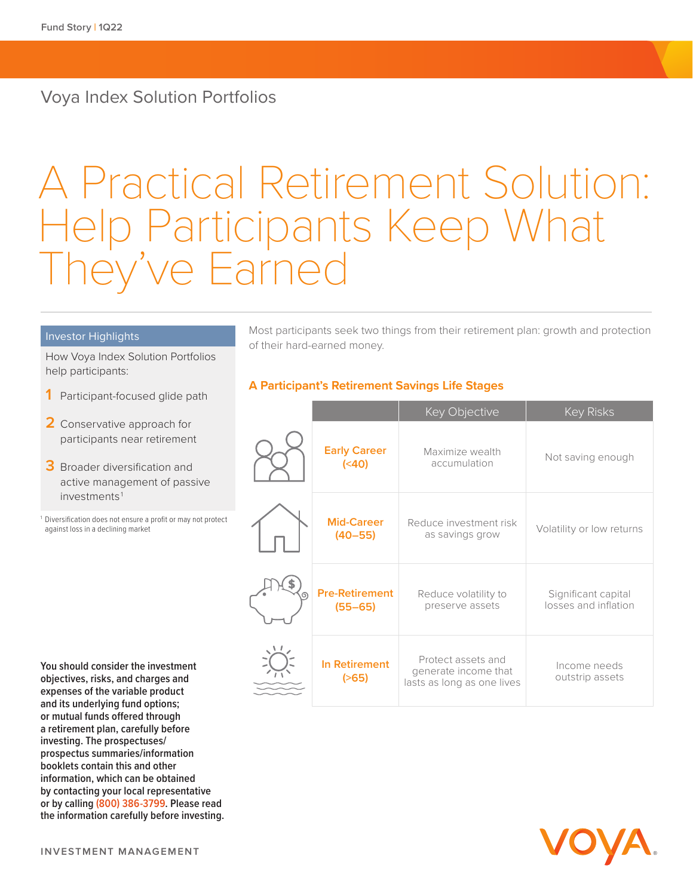### Voya Index Solution Portfolios

# A Practical Retirement Solution: Help Participants Keep What hey've Earned

#### Investor Highlights

How Voya Index Solution Portfolios help participants:

- **1** Participant-focused glide path
- **2** Conservative approach for participants near retirement
- **3** Broader diversification and active management of passive investments<sup>1</sup>

Diversification does not ensure a profit or may not protect against loss in a declining market

**You should consider the investment objectives, risks, and charges and expenses of the variable product and its underlying fund options; or mutual funds offered through a retirement plan, carefully before investing. The prospectuses/ prospectus summaries/information booklets contain this and other information, which can be obtained by contacting your local representative or** by calling (800) 386-3799. Please read  $\frac{1}{2}$ **the information carefully before investing.** 

Most participants seek two things from their retirement plan: growth and protection of their hard-earned money.

#### **A Participant's Retirement Savings Life Stages**

|                                      | Key Objective                                                            | <b>Key Risks</b>                            |
|--------------------------------------|--------------------------------------------------------------------------|---------------------------------------------|
| <b>Early Career</b><br>(40)          | Maximize wealth<br>accumulation                                          | Not saving enough                           |
| <b>Mid-Career</b><br>$(40 - 55)$     | Reduce investment risk<br>as savings grow                                | Volatility or low returns                   |
| <b>Pre-Retirement</b><br>$(55 - 65)$ | Reduce volatility to<br>preserve assets                                  | Significant capital<br>losses and inflation |
| <b>In Retirement</b><br>$($ >65)     | Protect assets and<br>generate income that<br>lasts as long as one lives | Income needs<br>outstrip assets             |

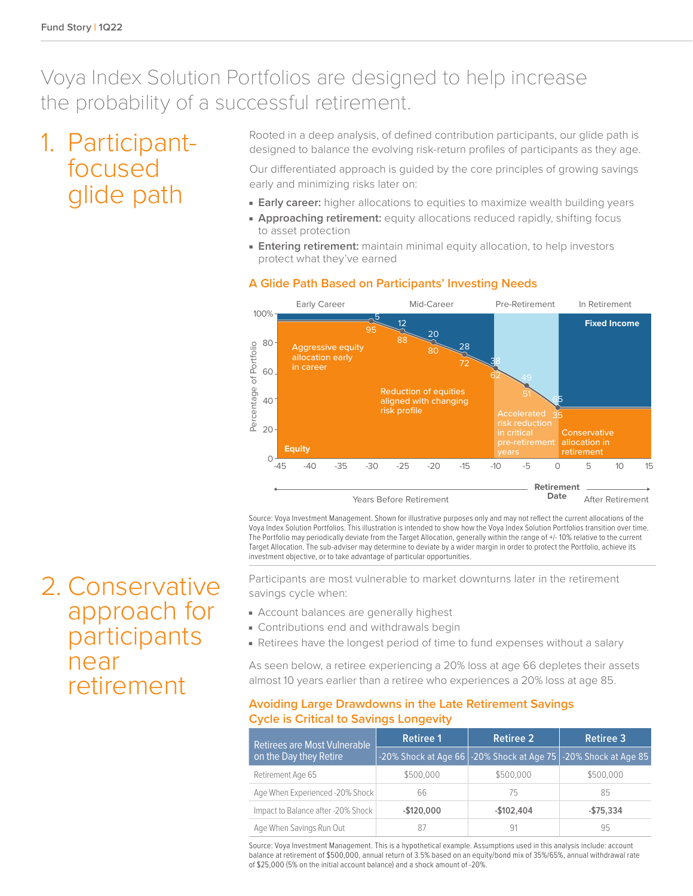### Voya Index Solution Portfolios are designed to help increase the probability of a successful retirement.

## 1. Participantfocused glide path

Rooted in a deep analysis, of defined contribution participants, our glide path is designed to balance the evolving risk-return profiles of participants as they age.

Our differentiated approach is guided by the core principles of growing savings early and minimizing risks later on:

- **Early career:** higher allocations to equities to maximize wealth building years
- **Approaching retirement:** equity allocations reduced rapidly, shifting focus to asset protection
- **Entering retirement:** maintain minimal equity allocation, to help investors protect what they've earned



Source: Voya Investment Management. Shown for illustrative purposes only and may not reflect the current allocations of the Voya Index Solution Portfolios. This illustration is intended to show how the Voya Index Solution Portfolios transition over time. The Portfolio may periodically deviate from the Target Allocation, generally within the range of +/- 10% relative to the current Target Allocation. The sub-adviser may determine to deviate by a wider margin in order to protect the Portfolio, achieve its investment objective, or to take advantage of particular opportunities.

Participants are most vulnerable to market downturns later in the retirement savings cycle when:

- Account balances are generally highest
- Contributions end and withdrawals begin
- Retirees have the longest period of time to fund expenses without a salary

As seen below, a retiree experiencing a 20% loss at age 66 depletes their assets almost 10 years earlier than a retiree who experiences a 20% loss at age 85.

#### **Avoiding Large Drawdowns in the Late Retirement Savings Cycle is Critical to Savings Longevity**

| Retirees are Most Vulnerable       | <b>Retiree 1</b> | <b>Retiree 2</b> | <b>Retiree 3</b>                                               |
|------------------------------------|------------------|------------------|----------------------------------------------------------------|
| on the Day they Retire             |                  |                  | -20% Shock at Age 66 -20% Shock at Age 75 -20% Shock at Age 85 |
| Retirement Age 65                  | \$500,000        | \$500,000        | \$500,000                                                      |
| Age When Experienced -20% Shock    | 66               | 75               | 85                                                             |
| Impact to Balance after -20% Shock | $-$120.000$      | $-$102,404$      | $-$75,334$                                                     |
| Age When Savings Run Out           | 87               | 91               | 95                                                             |

Source: Voya Investment Management. This is a hypothetical example. Assumptions used in this analysis include: account balance at retirement of \$500,000, annual return of 3.5% based on an equity/bond mix of 35%/65%, annual withdrawal rate of \$25,000 (5% on the initial account balance) and a shock amount of -20%.

2. Conservative approach for participants near retirement

### **A Glide Path Based on Participants' Investing Needs**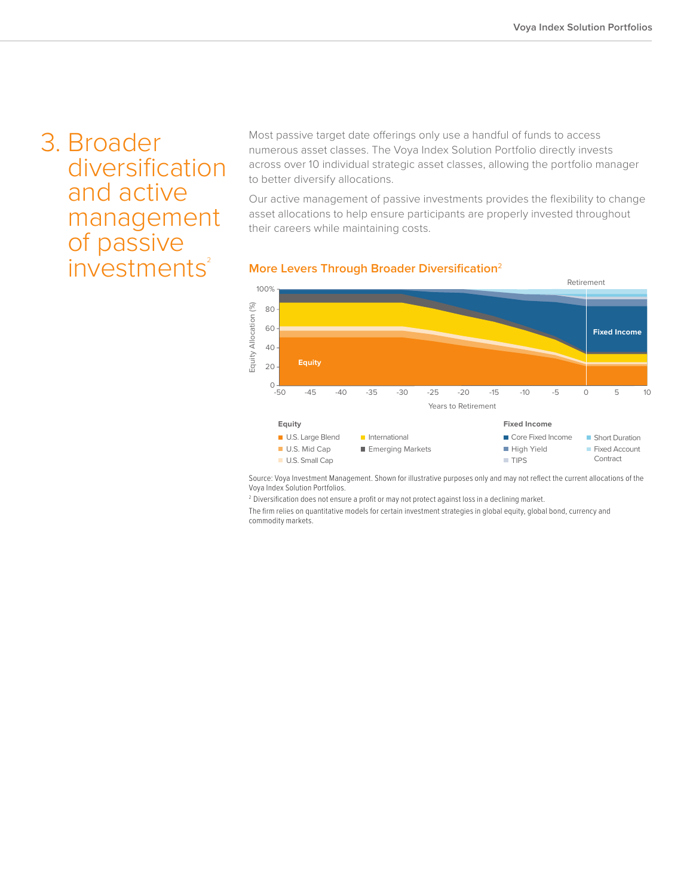## 3. Broader diversification and active management of passive  $investments<sup>2</sup>$

Most passive target date offerings only use a handful of funds to access numerous asset classes. The Voya Index Solution Portfolio directly invests across over 10 individual strategic asset classes, allowing the portfolio manager to better diversify allocations.

Our active management of passive investments provides the flexibility to change asset allocations to help ensure participants are properly invested throughout their careers while maintaining costs.

#### **More Levers Through Broader Diversification**<sup>2</sup>



Source: Voya Investment Management. Shown for illustrative purposes only and may not reflect the current allocations of the Voya Index Solution Portfolios.

<sup>2</sup> Diversification does not ensure a profit or may not protect against loss in a declining market.

The firm relies on quantitative models for certain investment strategies in global equity, global bond, currency and commodity markets.